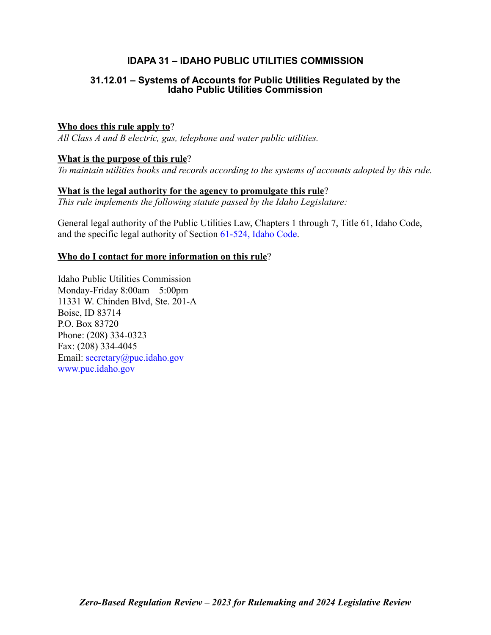## **IDAPA 31 – IDAHO PUBLIC UTILITIES COMMISSION**

## **31.12.01 – Systems of Accounts for Public Utilities Regulated by the Idaho Public Utilities Commission**

## **Who does this rule apply to**?

*All Class A and B electric, gas, telephone and water public utilities.*

## **What is the purpose of this rule**?

*To maintain utilities books and records according to the systems of accounts adopted by this rule.*

### **What is the legal authority for the agency to promulgate this rule**? *This rule implements the following statute passed by the Idaho Legislature:*

General legal authority of the Public Utilities Law, Chapters 1 through 7, Title 61, Idaho Code, and the specific legal authority of Section [61-524, Idaho Code](https://legislature.idaho.gov/statutesrules/idstat/Title61/T61CH5/SECT61-524/).

## **Who do I contact for more information on this rule**?

Idaho Public Utilities Commission Monday-Friday 8:00am – 5:00pm 11331 W. Chinden Blvd, Ste. 201-A Boise, ID 83714 P.O. Box 83720 Phone: (208) 334-0323 Fax: (208) 334-4045 Email: [secretary@puc.idaho.gov](mailto: secretary@puc.idaho.gov) [www.puc.idaho.gov](http://www.puc.idaho.gov)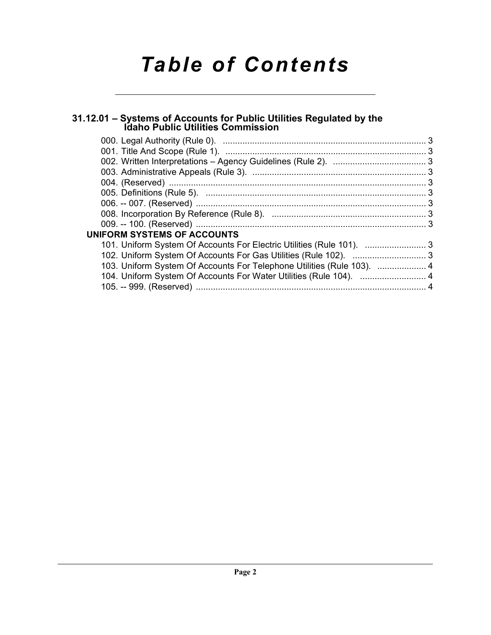# *Table of Contents*

## **[31.12.01 – Systems of Accounts for Public Utilities Regulated by the Idaho Public Utilities Commission](#page-2-0)**

| 101. Uniform System Of Accounts For Electric Utilities (Rule 101). 3<br>103. Uniform System Of Accounts For Telephone Utilities (Rule 103).  4 |                                    |  |
|------------------------------------------------------------------------------------------------------------------------------------------------|------------------------------------|--|
|                                                                                                                                                |                                    |  |
|                                                                                                                                                |                                    |  |
|                                                                                                                                                |                                    |  |
|                                                                                                                                                |                                    |  |
|                                                                                                                                                |                                    |  |
|                                                                                                                                                |                                    |  |
|                                                                                                                                                |                                    |  |
|                                                                                                                                                |                                    |  |
|                                                                                                                                                | <b>UNIFORM SYSTEMS OF ACCOUNTS</b> |  |
|                                                                                                                                                |                                    |  |
|                                                                                                                                                |                                    |  |
|                                                                                                                                                |                                    |  |
|                                                                                                                                                |                                    |  |
|                                                                                                                                                |                                    |  |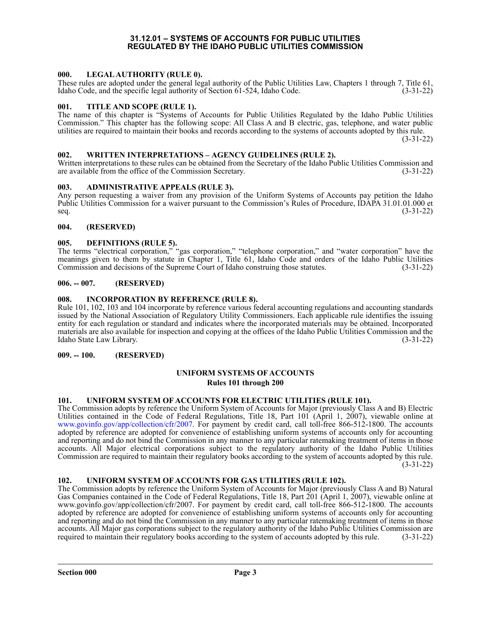#### **31.12.01 – SYSTEMS OF ACCOUNTS FOR PUBLIC UTILITIES REGULATED BY THE IDAHO PUBLIC UTILITIES COMMISSION**

#### <span id="page-2-1"></span><span id="page-2-0"></span>**000. LEGAL AUTHORITY (RULE 0).**

These rules are adopted under the general legal authority of the Public Utilities Law, Chapters 1 through 7, Title 61, Idaho Code, and the specific legal authority of Section 61-524, Idaho Code. (3-31-22)

#### <span id="page-2-2"></span>**001. TITLE AND SCOPE (RULE 1).**

The name of this chapter is "Systems of Accounts for Public Utilities Regulated by the Idaho Public Utilities Commission." This chapter has the following scope: All Class A and B electric, gas, telephone, and water public utilities are required to maintain their books and records according to the systems of accounts adopted by this rule.

(3-31-22)

#### <span id="page-2-3"></span>**002. WRITTEN INTERPRETATIONS – AGENCY GUIDELINES (RULE 2).**

Written interpretations to these rules can be obtained from the Secretary of the Idaho Public Utilities Commission and are available from the office of the Commission Secretary. (3-31-22) are available from the office of the Commission Secretary.

#### <span id="page-2-4"></span>**003. ADMINISTRATIVE APPEALS (RULE 3).**

Any person requesting a waiver from any provision of the Uniform Systems of Accounts pay petition the Idaho Public Utilities Commission for a waiver pursuant to the Commission's Rules of Procedure, IDAPA 31.01.01.000 et  $\text{seq.}$  (3-31-22)

#### <span id="page-2-5"></span>**004. (RESERVED)**

#### <span id="page-2-6"></span>**005. DEFINITIONS (RULE 5).**

The terms "electrical corporation," "gas corporation," "telephone corporation," and "water corporation" have the meanings given to them by statute in Chapter 1, Title 61, Idaho Code and orders of the Idaho Public Utilities Commission and decisions of the Supreme Court of Idaho construing those statutes. (3-31-22)

#### <span id="page-2-7"></span>**006. -- 007. (RESERVED)**

#### <span id="page-2-8"></span>**008. INCORPORATION BY REFERENCE (RULE 8).**

Rule 101, 102, 103 and 104 incorporate by reference various federal accounting regulations and accounting standards issued by the National Association of Regulatory Utility Commissioners. Each applicable rule identifies the issuing entity for each regulation or standard and indicates where the incorporated materials may be obtained. Incorporated materials are also available for inspection and copying at the offices of the Idaho Public Utilities Commission and the Idaho State Law Library. (3-31-22)

#### <span id="page-2-10"></span><span id="page-2-9"></span>**009. -- 100. (RESERVED)**

#### **UNIFORM SYSTEMS OF ACCOUNTS Rules 101 through 200**

#### <span id="page-2-11"></span>**101. UNIFORM SYSTEM OF ACCOUNTS FOR ELECTRIC UTILITIES (RULE 101).**

The Commission adopts by reference the Uniform System of Accounts for Major (previously Class A and B) Electric Utilities contained in the Code of Federal Regulations, Title 18, Part 101 (April 1, 2007), viewable online at <www.govinfo.gov/app/collection/cfr/2007>. For payment by credit card, call toll-free 866-512-1800. The accounts adopted by reference are adopted for convenience of establishing uniform systems of accounts only for accounting and reporting and do not bind the Commission in any manner to any particular ratemaking treatment of items in those accounts. All Major electrical corporations subject to the regulatory authority of the Idaho Public Utilities Commission are required to maintain their regulatory books according to the system of accounts adopted by this rule. (3-31-22)

#### <span id="page-2-12"></span>**102. UNIFORM SYSTEM OF ACCOUNTS FOR GAS UTILITIES (RULE 102).**

The Commission adopts by reference the Uniform System of Accounts for Major (previously Class A and B) Natural Gas Companies contained in the Code of Federal Regulations, Title 18, Part 201 (April 1, 2007), viewable online at www.govinfo.gov/app/collection/cfr/2007. For payment by credit card, call toll-free 866-512-1800. The accounts adopted by reference are adopted for convenience of establishing uniform systems of accounts only for accounting and reporting and do not bind the Commission in any manner to any particular ratemaking treatment of items in those accounts. All Major gas corporations subject to the regulatory authority of the Idaho Public Utilities Commission are required to maintain their regulatory books according to the system of accounts adopted by this rule. (3-31-22)